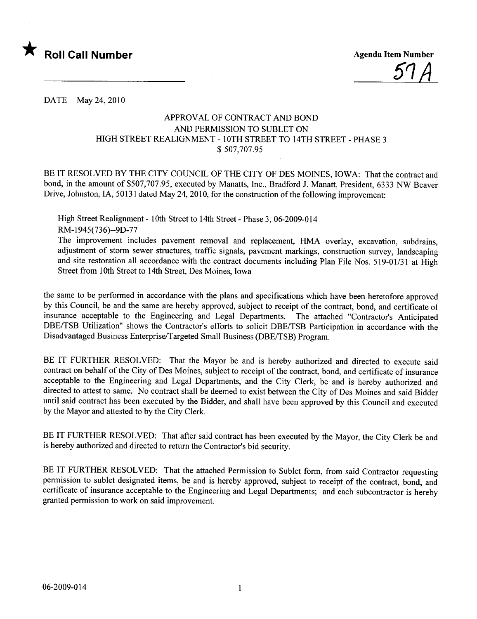

51A

DATE May 24,2010

## APPROVAL OF CONTRACT AND BOND AND PERMISSION TO SUBLET ON HIGH STREET REALIGNMENT - 10TH STREET TO 14TH STREET - PHASE 3 \$ 507,707.95

BE IT RESOLVED BY THE CITY COUNCIL OF THE CITY OF DES MOINES, IOWA: That the contract and bond, in the amount of \$507,707.95, executed by Manatts, Inc., Bradford J. Manatt, President, 6333 NW Beaver Drive, Johnston, IA, 50131 dated May 24, 2010, for the construction of the following improvement:

High Street Realignment - 10th Street to 14th Street - Phase 3, 06-2009-014 RM-1945(736)--9D-77

The improvement includes pavement removal and replacement, HMA overlay, excavation, subdrains, adjustment of storm sewer structures, traffic signals, pavement markings, construction survey, landscaping and site restoration all accordance with the contract documents including Plan File Nos. 519-01/31 at High Street from 10th Street to 14th Street, Des Moines, Iowa

the same to be performed in accordance with the plans and specifications which have been heretofore approved by this Council, be and the same are hereby approved, subject to receipt of the contract, bond, and certificate of insurance acceptable to the Engineering and Legal Departments. The attached "Contractor's Anticipated DBE/TSB Utilzation" shows the Contractor's efforts to solicit DBE/TSB Participation in accordance with the Disadvantaged Business Enterprise/Targeted Small Business (DBE/TSB) Program.

BE IT FURTHER RESOLVED: That the Mayor be and is hereby authorized and directed to execute said contract on behalf of the City of Des Moines, subject to receipt of the contract, bond, and certificate of insurance acceptable to the Engineering and Legal Departments, and the City Clerk, be and is hereby authorized and directed to attest to same. No contract shall be deemed to exist between the City of Des Moines and said Bidder until said contract has been executed by the Bidder, and shall have been approved by this Council and executed by the Mayor and attested to by the City Clerk.

BE IT FURTHER RESOLVED: That after said contract has been executed by the Mayor, the City Clerk be and is hereby authorized and directed to return the Contractor's bid security.

BE IT FURTHER RESOLVED: That the attached Permission to Sublet form, from said Contractor requesting permission to sublet designated items, be and is hereby approved, subject to receipt of the contract, bond, and certificate of insurance acceptable to the Engineering and Legal Departments; and each subcontractor is hereby granted permission to work on said improvement.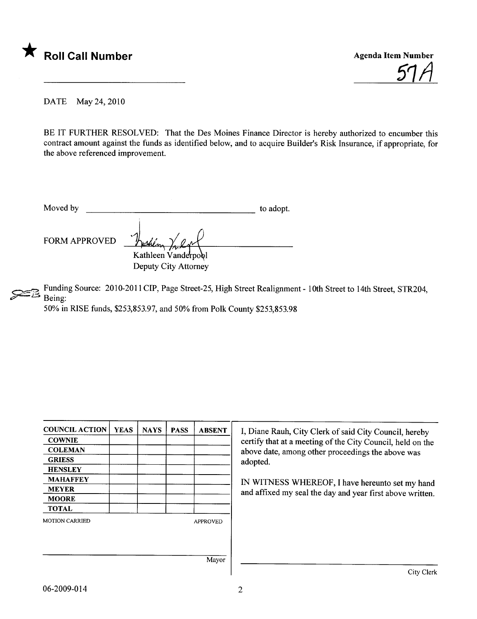

<u>57 A</u>

DATE May 24,2010

BE IT FURTHER RESOLVED: That the Des Moines Finance Director is hereby authorized to encumber this contract amount against the funds as identified below, and to acquire Builder's Risk Insurance, if appropriate, for the above referenced improvement.

| Moved by             |                                                        | to adopt. |
|----------------------|--------------------------------------------------------|-----------|
| <b>FORM APPROVED</b> | reshena<br>Kathleen Vanderpool<br>Deputy City Attorney |           |

Funding Source: 2010-2011 CIP, Page Street-25, High Street Realignment - 10th Street to 14th Street, STR204, Being:

50% in RISE funds, \$253,853.97, and 50% from Polk County \$253,853.98

| <b>COUNCIL ACTION</b> | <b>YEAS</b> | <b>NAYS</b> | <b>PASS</b> | <b>ABSENT</b>   | I, Diane Rauh, City Clerk of said City Council, hereby     |
|-----------------------|-------------|-------------|-------------|-----------------|------------------------------------------------------------|
| <b>COWNIE</b>         |             |             |             |                 | certify that at a meeting of the City Council, held on the |
| <b>COLEMAN</b>        |             |             |             |                 | above date, among other proceedings the above was          |
| <b>GRIESS</b>         |             |             |             |                 | adopted.                                                   |
| <b>HENSLEY</b>        |             |             |             |                 |                                                            |
| <b>MAHAFFEY</b>       |             |             |             |                 | IN WITNESS WHEREOF, I have hereunto set my hand            |
| <b>MEYER</b>          |             |             |             |                 | and affixed my seal the day and year first above written.  |
| <b>MOORE</b>          |             |             |             |                 |                                                            |
| <b>TOTAL</b>          |             |             |             |                 |                                                            |
| <b>MOTION CARRIED</b> |             |             |             | <b>APPROVED</b> |                                                            |
|                       |             |             |             |                 |                                                            |
|                       |             |             |             |                 |                                                            |
|                       |             |             |             |                 |                                                            |
|                       |             | Mayor       |             |                 |                                                            |
|                       |             |             |             |                 | City Clerk                                                 |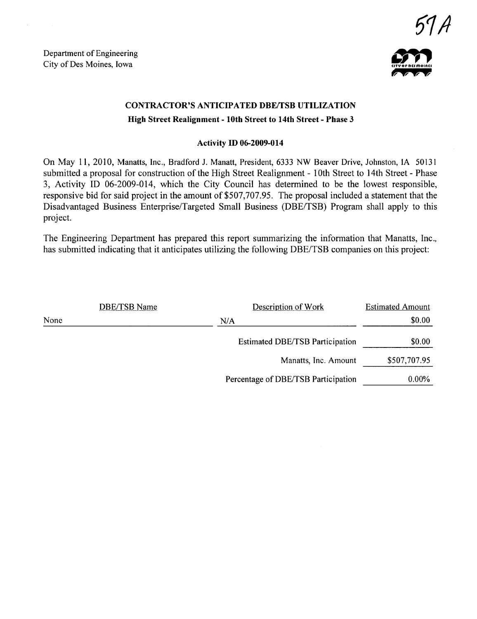Department of Engineering Department of Engineering<br>City of Des Moines, Iowa



# CONTRACTOR'S ANTICIPATED DBE/TSB UTILIZATION High Street Realignment - 10th Street to 14th Street - Phase 3

#### Activity ID 06-2009-014

On May 11,2010, Manatts, Inc., Bradford J. Manatt, President, 6333 NW Beaver Drive, Johnston, IA 50131 submitted a proposal for construction of the High Street Realignment - 10th Street to 14th Street - Phase 3, Activity ID 06-2009-014, which the City Council has determined to be the lowest responsible, responsive bid for said project in the amount of \$507,707.95. The proposal included a statement that the Disadvantaged Business Enterprise/Targeted Small Business (DBE/TSB) Program shall apply to this project.

The Engineering Department has prepared this report summarizing the information that Manatts, Inc., has submitted indicating that it anticipates utilizing the following DBE/TSB companies on this project:

|      | <b>DBE/TSB Name</b> | Description of Work                    | <b>Estimated Amount</b> |
|------|---------------------|----------------------------------------|-------------------------|
| None |                     | N/A                                    | \$0.00                  |
|      |                     | <b>Estimated DBE/TSB Participation</b> | \$0.00                  |
|      |                     | Manatts, Inc. Amount                   | \$507,707.95            |
|      |                     | Percentage of DBE/TSB Participation    | 0.00%                   |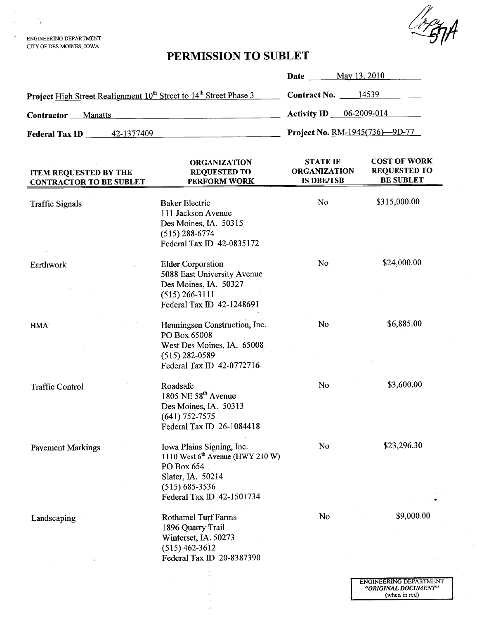LogyA

ENGINEERING DEPARTMENT CITY OF DES MOINS, IOWA

 $\frac{1}{4}$ 

# PERMISSION TO SUBLET

|                                                                                            | May 13, 2010<br>Date             |
|--------------------------------------------------------------------------------------------|----------------------------------|
| Project High Street Realignment 10 <sup>th</sup> Street to 14 <sup>th</sup> Street Phase 3 | <b>Contract No.</b> $14539$      |
| Contractor<br><b>Manatts</b>                                                               | <b>Activity ID</b> $06-2009-014$ |
| 42-1377409<br><b>Federal Tax ID</b>                                                        | Project No. RM-1945(736)-9D-77   |

| <b>ITEM REQUESTED BY THE</b><br><b>CONTRACTOR TO BE SUBLET</b> | <b>ORGANIZATION</b><br><b>REQUESTED TO</b><br>PERFORM WORK                                                                                            | <b>STATE IF</b><br><b>ORGANIZATION</b><br><b>IS DBE/TSB</b> | <b>COST OF WORK</b><br><b>REQUESTED TO</b><br><b>BE SUBLET</b> |
|----------------------------------------------------------------|-------------------------------------------------------------------------------------------------------------------------------------------------------|-------------------------------------------------------------|----------------------------------------------------------------|
| <b>Traffic Signals</b>                                         | <b>Baker Electric</b><br>111 Jackson Avenue<br>Des Moines, IA. 50315<br>$(515)$ 288-6774                                                              | No                                                          | \$315,000.00                                                   |
| Earthwork                                                      | Federal Tax ID 42-0835172<br><b>Elder Corporation</b>                                                                                                 | N <sub>o</sub>                                              | \$24,000.00                                                    |
|                                                                | 5088 East University Avenue<br>Des Moines, IA. 50327<br>$(515)$ 266-3111<br>Federal Tax ID 42-1248691                                                 |                                                             |                                                                |
| <b>HMA</b>                                                     | Henningsen Construction, Inc.<br>PO Box 65008<br>West Des Moines, IA. 65008<br>$(515)$ 282-0589<br>Federal Tax ID 42-0772716                          | No                                                          | \$6,885.00                                                     |
| <b>Traffic Control</b>                                         | Roadsafe<br>1805 NE $58th$ Avenue<br>Des Moines, IA. 50313<br>$(641) 752 - 7575$<br>Federal Tax ID 26-1084418                                         | No                                                          | \$3,600.00                                                     |
| <b>Pavement Markings</b>                                       | Iowa Plains Signing, Inc.<br>1110 West $6th$ Avenue (HWY 210 W)<br>PO Box 654<br>Slater, IA. 50214<br>$(515) 685 - 3536$<br>Federal Tax ID 42-1501734 | No                                                          | \$23,296.30                                                    |
| Landscaping                                                    | <b>Rothamel Turf Farms</b><br>1896 Quarry Trail<br>Winterset, IA. 50273<br>$(515) 462 - 3612$<br>Federal Tax ID 20-8387390                            | No                                                          | \$9,000.00                                                     |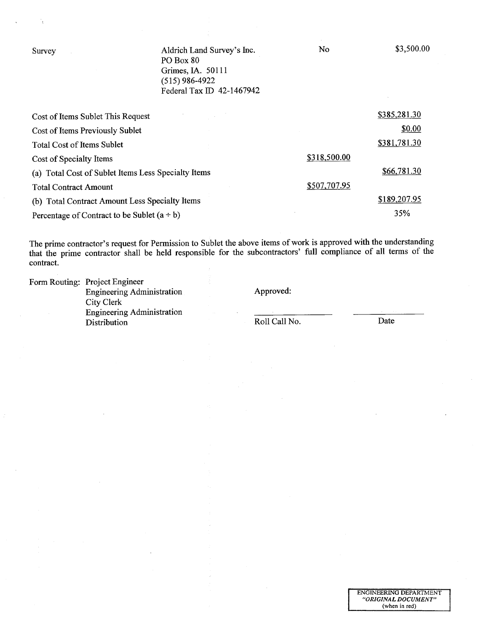| Survey                                              | Aldrich Land Survey's Inc.<br>PO Box 80<br>Grimes, IA. 50111<br>$(515)$ 986-4922<br>Federal Tax ID 42-1467942 | No           | \$3,500.00   |
|-----------------------------------------------------|---------------------------------------------------------------------------------------------------------------|--------------|--------------|
| Cost of Items Sublet This Request                   |                                                                                                               |              | \$385,281.30 |
| Cost of Items Previously Sublet                     |                                                                                                               |              | \$0.00       |
| <b>Total Cost of Items Sublet</b>                   |                                                                                                               |              | \$381,781.30 |
| Cost of Specialty Items                             |                                                                                                               | \$318,500.00 |              |
| (a) Total Cost of Sublet Items Less Specialty Items |                                                                                                               |              | \$66,781.30  |
| <b>Total Contract Amount</b>                        |                                                                                                               | \$507,707.95 |              |
| (b) Total Contract Amount Less Specialty Items      |                                                                                                               |              | \$189,207.95 |
| Percentage of Contract to be Sublet $(a \div b)$    | 35%                                                                                                           |              |              |

٠,

The prime contractor's request for Permission to Sublet the above items of work is approved with the understanding that the prime contractor shall be held responsible for the subcontractors' full compliance of all terms of the contract.

| Form Routing: Project Engineer    |               |      |  |
|-----------------------------------|---------------|------|--|
| Engineering Administration        | Approved:     |      |  |
| City Clerk                        |               |      |  |
|                                   |               |      |  |
| Distribution                      | Roll Call No. | Date |  |
| <b>Engineering Administration</b> |               |      |  |

 $\bar{z}$